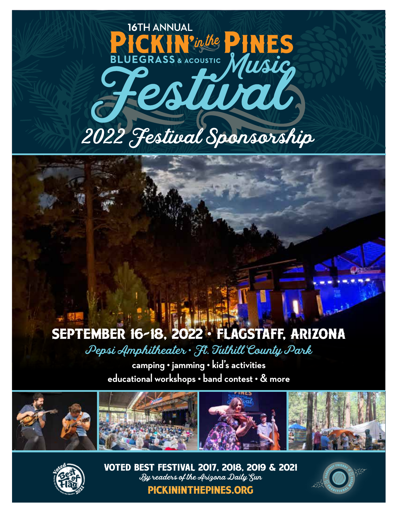

## September 16-18, 2022 • Flagstaff, Arizona

Pepsi Amphitheater • Ft. Tuthill County Park

**camping • jamming • kid's activities educational workshops • band contest • & more**





Voted Best Festival 2017, 2018, 2019 & 2021 By readers of the Arizona Daily Sun pickininthepines.org

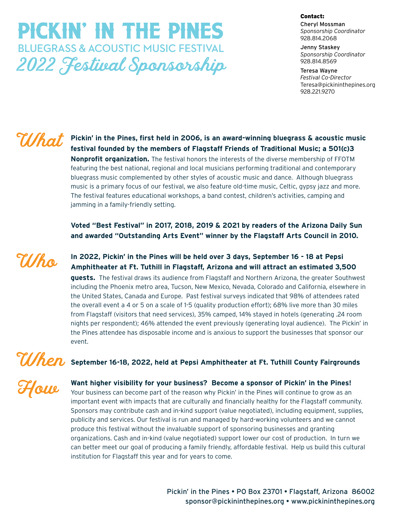## Pickin' in the Pines **BLUEGRASS & ACOUSTIC MUSIC FESTIVAL** 2022 Festival Sponsorship

#### Contact:

Cheryl Mossman *Sponsorship Coordinator* 928.814.2068

Jenny Staskey *Sponsorship Coordinator* 928.814.8569

Teresa Wayne *Festival Co-Director* Teresa@pickininthepines.org 928.221.9270

### What

**Pickin' in the Pines, first held in 2006, is an award-winning bluegrass & acoustic music festival founded by the members of Flagstaff Friends of Traditional Music; a 501(c)3 Nonprofit organization.** The festival honors the interests of the diverse membership of FFOTM featuring the best national, regional and local musicians performing traditional and contemporary bluegrass music complemented by other styles of acoustic music and dance. Although bluegrass music is a primary focus of our festival, we also feature old-time music, Celtic, gypsy jazz and more. The festival features educational workshops, a band contest, children's activities, camping and jamming in a family-friendly setting.

**Voted "Best Festival" in 2017, 2018, 2019 & 2021 by readers of the Arizona Daily Sun and awarded "Outstanding Arts Event" winner by the Flagstaff Arts Council in 2010.**

Who

**In 2022, Pickin' in the Pines will be held over 3 days, September 16 - 18 at Pepsi Amphitheater at Ft. Tuthill in Flagstaff, Arizona and will attract an estimated 3,500** 

**guests.** The festival draws its audience from Flagstaff and Northern Arizona, the greater Southwest including the Phoenix metro area, Tucson, New Mexico, Nevada, Colorado and California, elsewhere in the United States, Canada and Europe. Past festival surveys indicated that 98% of attendees rated the overall event a 4 or 5 on a scale of 1-5 (quality production effort); 68% live more than 30 miles from Flagstaff (visitors that need services), 35% camped, 14% stayed in hotels (generating .24 room nights per respondent); 46% attended the event previously (generating loyal audience). The Pickin' in the Pines attendee has disposable income and is anxious to support the businesses that sponsor our event.

### **September 16-18, 2022, held at Pepsi Amphitheater at Ft. Tuthill County Fairgrounds** When

How

**Want higher visibility for your business? Become a sponsor of Pickin' in the Pines!** 

Your business can become part of the reason why Pickin' in the Pines will continue to grow as an important event with impacts that are culturally and financially healthy for the Flagstaff community. Sponsors may contribute cash and in-kind support (value negotiated), including equipment, supplies, publicity and services. Our festival is run and managed by hard-working volunteers and we cannot produce this festival without the invaluable support of sponsoring businesses and granting organizations. Cash and in-kind (value negotiated) support lower our cost of production. In turn we can better meet our goal of producing a family friendly, affordable festival. Help us build this cultural institution for Flagstaff this year and for years to come.

> Pickin' in the Pines • PO Box 23701 • Flagstaff, Arizona 86002 sponsor@pickininthepines.org • www.pickininthepines.org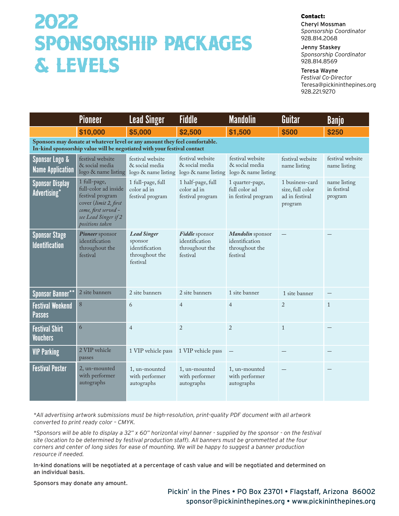## 2022 Sponsorship Packages & Levels

#### Contact:

Cheryl Mossman *Sponsorship Coordinator* 928.814.2068

Jenny Staskey *Sponsorship Coordinator* 928.814.8569

Teresa Wayne

*Festival Co-Director* Teresa@pickininthepines.org 928.221.9270

|                                                                                                                                                       | <u>Pioneer</u>                                                                                                                                       | <b>Lead Singer</b>                                                            | <b>Fiddle</b>                                                  | <b>Mandolin</b>                                                  | Guitar                                                           | Banjo                                  |  |  |  |
|-------------------------------------------------------------------------------------------------------------------------------------------------------|------------------------------------------------------------------------------------------------------------------------------------------------------|-------------------------------------------------------------------------------|----------------------------------------------------------------|------------------------------------------------------------------|------------------------------------------------------------------|----------------------------------------|--|--|--|
|                                                                                                                                                       | \$10,000                                                                                                                                             | \$5,000                                                                       | \$2,500                                                        | \$1,500                                                          | \$500                                                            | \$250                                  |  |  |  |
| Sponsors may donate at whatever level or any amount they feel comfortable.<br>In-kind sponsorship value will be negotiated with your festival contact |                                                                                                                                                      |                                                                               |                                                                |                                                                  |                                                                  |                                        |  |  |  |
| <b>Sponsor Logo &amp;</b><br><b>Name Application</b>                                                                                                  | festival website<br>& social media<br>logo & name listing                                                                                            | festival website<br>& social media<br>logo & name listing                     | festival website<br>& social media<br>logo & name listing      | festival website<br>& social media<br>logo & name listing        | festival website<br>name listing                                 | festival website<br>name listing       |  |  |  |
| <b>Sponsor Display</b><br>Advertising*                                                                                                                | 1 full-page,<br>full-color ad inside<br>festival program<br>cover (limit 2, first<br>come, first served -<br>see Lead Singer if 2<br>positions taken | 1 full-page, full<br>color ad in<br>festival program                          | 1 half-page, full<br>color ad in<br>festival program           | 1 quarter-page,<br>full color ad<br>in festival program          | 1 business-card<br>size, full color<br>ad in festival<br>program | name listing<br>in festival<br>program |  |  |  |
| <b>Sponsor Stage</b><br><b>Identification</b>                                                                                                         | Pioneer sponsor<br>identification<br>throughout the<br>festival                                                                                      | <b>Lead Singer</b><br>sponsor<br>identification<br>throughout the<br>festival | Fiddle sponsor<br>identification<br>throughout the<br>festival | Mandolin sponsor<br>identification<br>throughout the<br>festival |                                                                  |                                        |  |  |  |
| Sponsor Banner**                                                                                                                                      | 2 site banners                                                                                                                                       | 2 site banners                                                                | 2 site banners                                                 | 1 site banner                                                    | 1 site banner                                                    |                                        |  |  |  |
| <b>Festival Weekend</b><br><b>Passes</b>                                                                                                              | 8                                                                                                                                                    | 6                                                                             | $\overline{4}$                                                 | $\overline{4}$                                                   | $\overline{2}$                                                   | $\mathbf{1}$                           |  |  |  |
| <b>Festival Shirt</b><br><b>Vouchers</b>                                                                                                              | 6                                                                                                                                                    | $\overline{4}$                                                                | $\overline{2}$                                                 | $\overline{2}$                                                   | $\mathbf{1}$                                                     |                                        |  |  |  |
| <b>VIP Parking</b>                                                                                                                                    | 2 VIP vehicle<br>passes                                                                                                                              | 1 VIP vehicle pass                                                            | 1 VIP vehicle pass                                             |                                                                  |                                                                  |                                        |  |  |  |
| <b>Festival Poster</b>                                                                                                                                | 2, un-mounted<br>with performer<br>autographs                                                                                                        | 1, un-mounted<br>with performer<br>autographs                                 | 1, un-mounted<br>with performer<br>autographs                  | 1, un-mounted<br>with performer<br>autographs                    |                                                                  |                                        |  |  |  |

*\*All advertising artwork submissions must be high-resolution, print-quality PDF document with all artwork converted to print ready color – CMYK.*

*\*Sponsors will be able to display a 32" x 60" horizontal vinyl banner - supplied by the sponsor - on the festival site (location to be determined by festival production staff). All banners must be grommetted at the four corners and center of long sides for ease of mounting. We will be happy to suggest a banner production resource if needed.*

In-kind donations will be negotiated at a percentage of cash value and will be negotiated and determined on an individual basis.

Sponsors may donate any amount.

#### Pickin' in the Pines • PO Box 23701 • Flagstaff, Arizona 86002 sponsor@pickininthepines.org • www.pickininthepines.org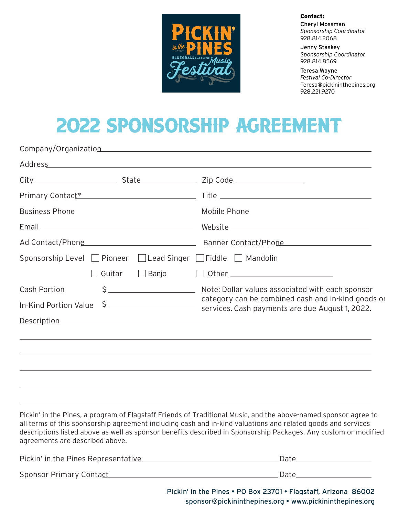

Contact:

Cheryl Mossman *Sponsorship Coordinator* 928.814.2068

Jenny Staskey *Sponsorship Coordinator* 928.814.8569

Teresa Wayne *Festival Co-Director* Teresa@pickininthepines.org 928.221.9270

## 2022 Sponsorship Agreement

|                                                                          |        |       | Company/Organization example and the company organization                                                                                                                                                                            |  |  |
|--------------------------------------------------------------------------|--------|-------|--------------------------------------------------------------------------------------------------------------------------------------------------------------------------------------------------------------------------------------|--|--|
|                                                                          |        |       | Address and the contract of the contract of the contract of the contract of the contract of the contract of the contract of the contract of the contract of the contract of the contract of the contract of the contract of th       |  |  |
|                                                                          |        |       | Zip Code ___________________                                                                                                                                                                                                         |  |  |
|                                                                          |        |       | Primary Contact* The Contact Contract Contract Contract Contract Contract Contract Contract Contract Contract Contract Contract Contract Contract Contract Contract Contract Contract Contract Contract Contract Contract Cont       |  |  |
|                                                                          |        |       | Business Phone <b>Contract Contract Contract Contract Contract Contract Contract Contract Contract Contract Contract Contract Contract Contract Contract Contract Contract Contract Contract Contract Contract Contract Contract</b> |  |  |
|                                                                          |        |       |                                                                                                                                                                                                                                      |  |  |
|                                                                          |        |       |                                                                                                                                                                                                                                      |  |  |
| Sponsorship Level $\Box$ Pioneer $\Box$ Lead Singer $\Box$ Fiddle $\Box$ |        |       | Mandolin                                                                                                                                                                                                                             |  |  |
|                                                                          | Guitar | Banjo |                                                                                                                                                                                                                                      |  |  |
| <b>Cash Portion</b>                                                      |        |       |                                                                                                                                                                                                                                      |  |  |
| In-Kind Portion Value                                                    |        |       | category can be combined cash and in-kind goods or<br>\$                                                                                                                                                                             |  |  |
|                                                                          |        |       |                                                                                                                                                                                                                                      |  |  |
|                                                                          |        |       | ,我们也不会有什么?""我们的人,我们也不会有什么?""我们的人,我们也不会有什么?""我们的人,我们也不会有什么?""我们的人,我们也不会有什么?""我们的人                                                                                                                                                     |  |  |
|                                                                          |        |       |                                                                                                                                                                                                                                      |  |  |
|                                                                          |        |       | ,我们也不会有什么?""我们的人,我们也不会有什么?""我们的人,我们也不会有什么?""我们的人,我们也不会有什么?""我们的人,我们也不会有什么?""我们的人                                                                                                                                                     |  |  |
|                                                                          |        |       | ,我们也不会有什么?""我们的人,我们也不会有什么?""我们的人,我们也不会有什么?""我们的人,我们也不会有什么?""我们的人,我们也不会有什么?""我们的人                                                                                                                                                     |  |  |
|                                                                          |        |       |                                                                                                                                                                                                                                      |  |  |

Pickin' in the Pines, a program of Flagstaff Friends of Traditional Music, and the above-named sponsor agree to all terms of this sponsorship agreement including cash and in-kind valuations and related goods and services descriptions listed above as well as sponsor benefits described in Sponsorship Packages. Any custom or modified agreements are described above.

| Pickin' in the Pines Representative | Date |
|-------------------------------------|------|
| Sponsor Primary Contact             | Date |

Pickin' in the Pines • PO Box 23701 • Flagstaff, Arizona 86002 sponsor@pickininthepines.org • www.pickininthepines.org